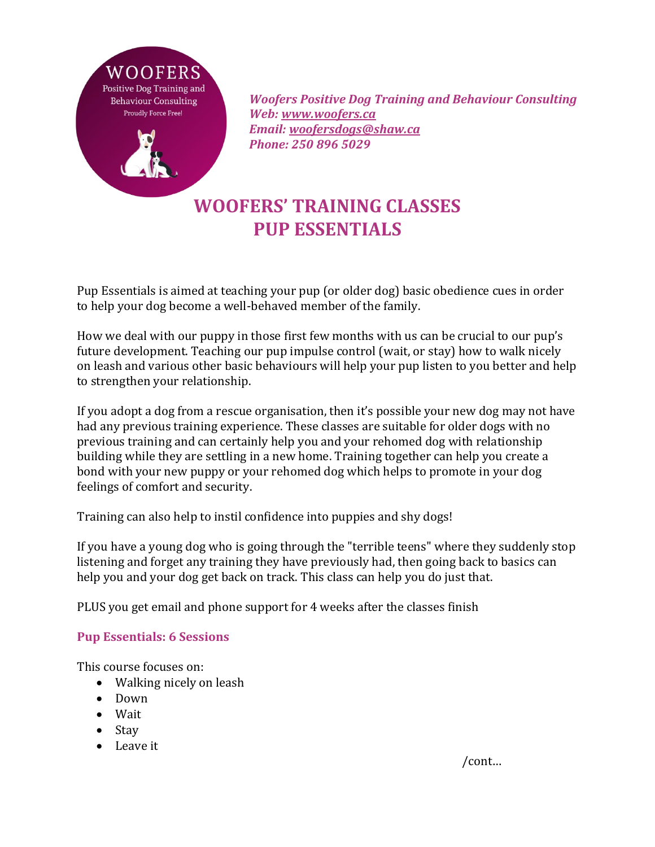

 *Woofers Positive Dog Training and Behaviour Consulting Web: [www.woofers.ca](http://www.woofers.ca/) Email: [woofersdogs@shaw.ca](mailto:woofersdogs@shaw.ca) Phone: 250 896 5029*

## **WOOFERS' TRAINING CLASSES PUP ESSENTIALS**

Pup Essentials is aimed at teaching your pup (or older dog) basic obedience cues in order to help your dog become a well-behaved member of the family.

How we deal with our puppy in those first few months with us can be crucial to our pup's future development. Teaching our pup impulse control (wait, or stay) how to walk nicely on leash and various other basic behaviours will help your pup listen to you better and help to strengthen your relationship.

If you adopt a dog from a rescue organisation, then it's possible your new dog may not have had any previous training experience. These classes are suitable for older dogs with no previous training and can certainly help you and your rehomed dog with relationship building while they are settling in a new home. Training together can help you create a bond with your new puppy or your rehomed dog which helps to promote in your dog feelings of comfort and security.

Training can also help to instil confidence into puppies and shy dogs!

If you have a young dog who is going through the "terrible teens" where they suddenly stop listening and forget any training they have previously had, then going back to basics can help you and your dog get back on track. This class can help you do just that.

PLUS you get email and phone support for 4 weeks after the classes finish

## **Pup Essentials: 6 Sessions**

This course focuses on:

- Walking nicely on leash
- Down
- Wait
- Stay
- Leave it

/cont…